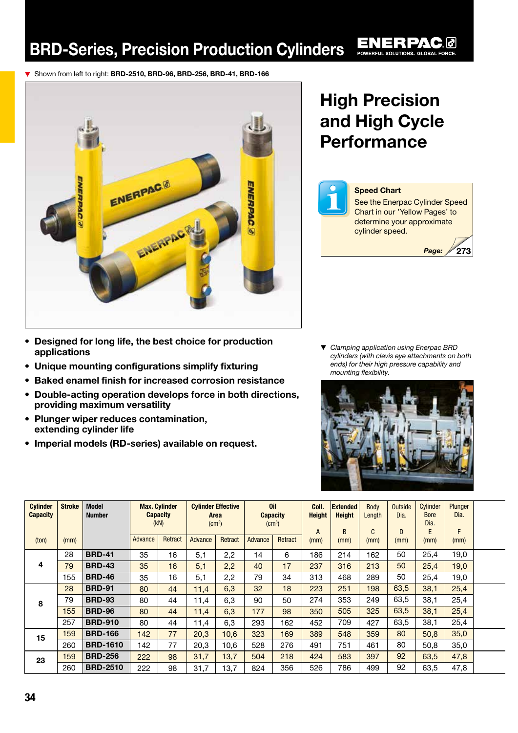▼ Shown from left to right: BRD-2510, BRD-96, BRD-256, BRD-41, BRD-166



## High Precision and High Cycle **Performance**



▼ *Clamping application using Enerpac BRD cylinders (with clevis eye attachments on both ends) for their high pressure capability and mounting flexibility.* 



| <b>Cylinder</b><br><b>Capacity</b> | <b>Stroke</b> | <b>Model</b><br><b>Number</b> | <b>Max. Cylinder</b><br><b>Capacity</b><br>(KN) |    | <b>Cylinder Effective</b><br>Area<br>(cm <sup>2</sup> ) |         | <b>Oil</b><br><b>Capacity</b><br>$\rm (cm^3)$ |         | Coll.<br><b>Height</b><br>A | <b>Extended</b><br><b>Height</b><br>B | Body<br>Length<br>C | <b>Outside</b><br>Dia.<br>D | Cylinder<br><b>Bore</b><br>Dia.<br>E | Plunger<br>Dia.<br>F |  |
|------------------------------------|---------------|-------------------------------|-------------------------------------------------|----|---------------------------------------------------------|---------|-----------------------------------------------|---------|-----------------------------|---------------------------------------|---------------------|-----------------------------|--------------------------------------|----------------------|--|
| (ton)                              | (mm)          |                               | Retract<br>Advance                              |    | Advance                                                 | Retract | Advance                                       | Retract | (mm)                        | (mm)                                  | (mm)                | (mm)                        | (mm)                                 | (mm)                 |  |
| 4                                  | 28            | <b>BRD-41</b>                 | 35                                              | 16 | 5,1                                                     | 2,2     | 14                                            | 6       | 186                         | 214                                   | 162                 | 50                          | 25,4                                 | 19,0                 |  |
|                                    | 79            | <b>BRD-43</b>                 | 35                                              | 16 | 5,1                                                     | 2,2     | 40                                            | 17      | 237                         | 316                                   | 213                 | 50                          | 25,4                                 | 19,0                 |  |
|                                    | 155           | <b>BRD-46</b>                 | 35                                              | 16 | 5,1                                                     | 2,2     | 79                                            | 34      | 313                         | 468                                   | 289                 | 50                          | 25,4                                 | 19,0                 |  |
| 8                                  | 28            | <b>BRD-91</b>                 | 80                                              | 44 | 11,4                                                    | 6,3     | 32                                            | 18      | 223                         | 251                                   | 198                 | 63,5                        | 38,1                                 | 25,4                 |  |
|                                    | 79            | <b>BRD-93</b>                 | 80                                              | 44 | 11,4                                                    | 6,3     | 90                                            | 50      | 274                         | 353                                   | 249                 | 63.5                        | 38,1                                 | 25,4                 |  |
|                                    | 155           | <b>BRD-96</b>                 | 80                                              | 44 | 11,4                                                    | 6,3     | 177                                           | 98      | 350                         | 505                                   | 325                 | 63,5                        | 38,1                                 | 25,4                 |  |
|                                    | 257           | <b>BRD-910</b>                | 80                                              | 44 | 11,4                                                    | 6,3     | 293                                           | 162     | 452                         | 709                                   | 427                 | 63,5                        | 38,1                                 | 25,4                 |  |
| 15                                 | 159           | <b>BRD-166</b>                | 142                                             | 77 | 20,3                                                    | 10,6    | 323                                           | 169     | 389                         | 548                                   | 359                 | 80                          | 50,8                                 | 35,0                 |  |
|                                    | 260           | <b>BRD-1610</b>               | 142                                             | 77 | 20,3                                                    | 10,6    | 528                                           | 276     | 491                         | 751                                   | 461                 | 80                          | 50,8                                 | 35,0                 |  |
| 23                                 | 159           | <b>BRD-256</b>                | 222                                             | 98 | 31,7                                                    | 13,7    | 504                                           | 218     | 424                         | 583                                   | 397                 | 92                          | 63,5                                 | 47,8                 |  |
|                                    | 260           | <b>BRD-2510</b>               | 222                                             | 98 | 31,7                                                    | 13,7    | 824                                           | 356     | 526                         | 786                                   | 499                 | 92                          | 63,5                                 | 47,8                 |  |

- Designed for long life, the best choice for production applications
- Unique mounting configurations simplify fixturing
- Baked enamel finish for increased corrosion resistance
- Double-acting operation develops force in both directions, providing maximum versatility
- Plunger wiper reduces contamination, extending cylinder life
- Imperial models (RD-series) available on request.